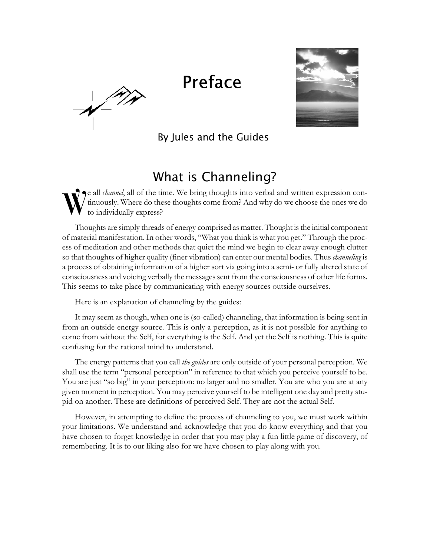## Preface

 $\sqrt{\frac{1}{10}}$ 



By Jules and the Guides

## What is Channeling?

e all *channel*, all of the time. We bring thoughts into verbal and written expression continuously. Where do these thoughts come from? And why do we choose the ones we do to individually express? W

Thoughts are simply threads of energy comprised as matter. Thought is the initial component of material manifestation. In other words, "What you think is what you get." Through the process of meditation and other methods that quiet the mind we begin to clear away enough clutter so that thoughts of higher quality (finer vibration) can enter our mental bodies. Thus *channeling* is a process of obtaining information of a higher sort via going into a semi- or fully altered state of consciousness and voicing verbally the messages sent from the consciousness of other life forms. This seems to take place by communicating with energy sources outside ourselves.

Here is an explanation of channeling by the guides:

It may seem as though, when one is (so-called) channeling, that information is being sent in from an outside energy source. This is only a perception, as it is not possible for anything to come from without the Self, for everything is the Self. And yet the Self is nothing. This is quite confusing for the rational mind to understand.

The energy patterns that you call *the guides* are only outside of your personal perception. We shall use the term "personal perception" in reference to that which you perceive yourself to be. You are just "so big" in your perception: no larger and no smaller. You are who you are at any given moment in perception. You may perceive yourself to be intelligent one day and pretty stupid on another. These are definitions of perceived Self. They are not the actual Self.

However, in attempting to define the process of channeling to you, we must work within your limitations. We understand and acknowledge that you do know everything and that you have chosen to forget knowledge in order that you may play a fun little game of discovery, of remembering. It is to our liking also for we have chosen to play along with you.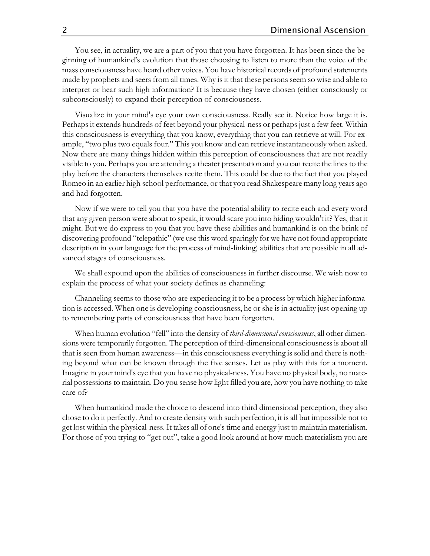You see, in actuality, we are a part of you that you have forgotten. It has been since the beginning of humankind's evolution that those choosing to listen to more than the voice of the mass consciousness have heard other voices. You have historical records of profound statements made by prophets and seers from all times. Why is it that these persons seem so wise and able to interpret or hear such high information? It is because they have chosen (either consciously or subconsciously) to expand their perception of consciousness.

Visualize in your mind's eye your own consciousness. Really see it. Notice how large it is. Perhaps it extends hundreds of feet beyond your physical-ness or perhaps just a few feet. Within this consciousness is everything that you know, everything that you can retrieve at will. For example, "two plus two equals four." This you know and can retrieve instantaneously when asked. Now there are many things hidden within this perception of consciousness that are not readily visible to you. Perhaps you are attending a theater presentation and you can recite the lines to the play before the characters themselves recite them. This could be due to the fact that you played Romeo in an earlier high school performance, or that you read Shakespeare many long years ago and had forgotten.

Now if we were to tell you that you have the potential ability to recite each and every word that any given person were about to speak, it would scare you into hiding wouldn't it? Yes, that it might. But we do express to you that you have these abilities and humankind is on the brink of discovering profound "telepathic" (we use this word sparingly for we have not found appropriate description in your language for the process of mind-linking) abilities that are possible in all advanced stages of consciousness.

We shall expound upon the abilities of consciousness in further discourse. We wish now to explain the process of what your society defines as channeling:

Channeling seems to those who are experiencing it to be a process by which higher information is accessed. When one is developing consciousness, he or she is in actuality just opening up to remembering parts of consciousness that have been forgotten.

When human evolution "fell" into the density of *third-dimensional consciousness*, all other dimensions were temporarily forgotten. The perception of third-dimensional consciousness is about all that is seen from human awareness—in this consciousness everything is solid and there is nothing beyond what can be known through the five senses. Let us play with this for a moment. Imagine in your mind's eye that you have no physical-ness. You have no physical body, no material possessions to maintain. Do you sense how light filled you are, how you have nothing to take care of?

When humankind made the choice to descend into third dimensional perception, they also chose to do it perfectly. And to create density with such perfection, it is all but impossible not to get lost within the physical-ness. It takes all of one's time and energy just to maintain materialism. For those of you trying to "get out", take a good look around at how much materialism you are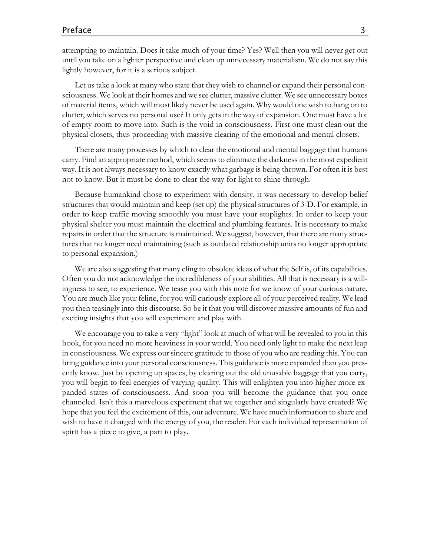## Preface 3

attempting to maintain. Does it take much of your time? Yes? Well then you will never get out until you take on a lighter perspective and clean up unnecessary materialism. We do not say this lightly however, for it is a serious subject.

Let us take a look at many who state that they wish to channel or expand their personal consciousness. We look at their homes and we see clutter, massive clutter. We see unnecessary boxes of material items, which will most likely never be used again. Why would one wish to hang on to clutter, which serves no personal use? It only gets in the way of expansion. One must have a lot of empty room to move into. Such is the void in consciousness. First one must clean out the physical closets, thus proceeding with massive clearing of the emotional and mental closets.

There are many processes by which to clear the emotional and mental baggage that humans carry. Find an appropriate method, which seems to eliminate the darkness in the most expedient way. It is not always necessary to know exactly what garbage is being thrown. For often it is best not to know. But it must be done to clear the way for light to shine through.

Because humankind chose to experiment with density, it was necessary to develop belief structures that would maintain and keep (set up) the physical structures of 3-D. For example, in order to keep traffic moving smoothly you must have your stoplights. In order to keep your physical shelter you must maintain the electrical and plumbing features. It is necessary to make repairs in order that the structure is maintained. We suggest, however, that there are many structures that no longer need maintaining (such as outdated relationship units no longer appropriate to personal expansion.)

We are also suggesting that many cling to obsolete ideas of what the Self is, of its capabilities. Often you do not acknowledge the incredibleness of your abilities. All that is necessary is a willingness to see, to experience. We tease you with this note for we know of your curious nature. You are much like your feline, for you will curiously explore all of your perceived reality. We lead you then teasingly into this discourse. So be it that you will discover massive amounts of fun and exciting insights that you will experiment and play with.

We encourage you to take a very "light" look at much of what will be revealed to you in this book, for you need no more heaviness in your world. You need only light to make the next leap in consciousness. We express our sincere gratitude to those of you who are reading this. You can bring guidance into your personal consciousness. This guidance is more expanded than you presently know. Just by opening up spaces, by clearing out the old unusable baggage that you carry, you will begin to feel energies of varying quality. This will enlighten you into higher more expanded states of consciousness. And soon you will become the guidance that you once channeled. Isn't this a marvelous experiment that we together and singularly have created? We hope that you feel the excitement of this, our adventure. We have much information to share and wish to have it charged with the energy of you, the reader. For each individual representation of spirit has a piece to give, a part to play.